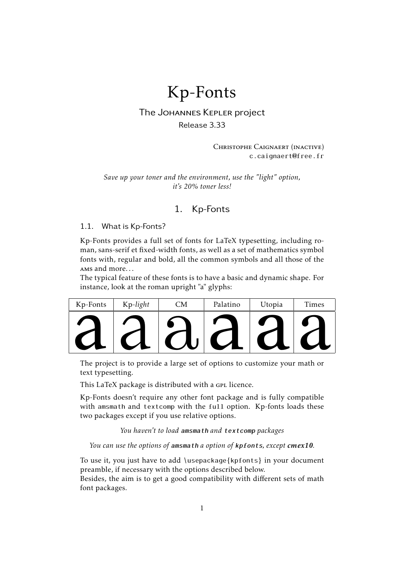# Kp-Fonts

# The Johannes Kepler project

Release 3.33

Christophe Caignaert (inactive) c.caignaert@free.fr

*Save up your toner and the environment, use the "light" option, it's 20% toner less!*

# 1. Kp-Fonts

#### 1.1. What is Kp-Fonts?

Kp-Fonts provides a full set of fonts for LaTeX typesetting, including roman, sans-serif et fixed-width fonts, as well as a set of mathematics symbol fonts with, regular and bold, all the common symbols and all those of the ams and more. . .

The typical feature of these fonts is to have a basic and dynamic shape. For instance, look at the roman upright "a" glyphs:

| Kp-Fonts                                                                   | Kp-light | CМ | Palatino | Utopia | Times                                  |
|----------------------------------------------------------------------------|----------|----|----------|--------|----------------------------------------|
|                                                                            |          |    |          |        |                                        |
|                                                                            |          |    |          |        | $\begin{bmatrix} 1 \\ 1 \end{bmatrix}$ |
| The project is to provide a large set of options to customize your math or |          |    |          |        |                                        |

The project is to provide a large set of options to customize your math or text typesetting.

This LaTeX package is distributed with a GPL licence.

Kp-Fonts doesn't require any other font package and is fully compatible with amsmath and textcomp with the full option. Kp-fonts loads these two packages except if you use relative options.

*You haven't to load* amsmath *and* textcomp *packages*

*You can use the options of* amsmath *a option of* kpfonts*, except cmex10.*

To use it, you just have to add \usepackage{kpfonts} in your document preamble, if necessary with the options described below.

Besides, the aim is to get a good compatibility with different sets of math font packages.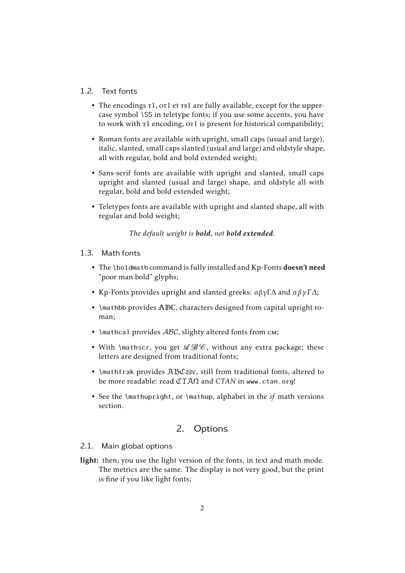#### 1.2. Text fonts

- The encodings  $t1$ , or1 et  $t1$  are fully available, except for the uppercase symbol \SS in teletype fonts; if you use some accents, you have to work with  $\tau_1$  encoding, or 1 is present for historical compatibility;
- Roman fonts are available with upright, small caps (usual and large), italic, slanted, small caps slanted (usual and large) and oldstyle shape, all with regular, bold and bold extended weight;
- Sans-serif fonts are available with upright and slanted, small caps upright and slanted (usual and large) shape, and oldstyle all with regular, bold and bold extended weight;
- Teletypes fonts are available with upright and slanted shape, all with regular and bold weight;

*The default weight is bold, not bold extended.*

- 1.3. Math fonts
	- The \boldmath command is fully installed and Kp-Fonts doesn't need "poor man bold" glyphs;
	- Kp-Fonts provides upright and slanted greeks:  $\alpha\beta\gamma\Gamma\Delta$  and  $\alpha\beta\gamma\Gamma\Delta$ ;
	- \mathbb provides ABC, characters designed from capital upright roman;
	- \mathcal provides  $ABC$ , slighty altered fonts from cm;
	- With \mathscr, you get  $\mathscr{B}\mathscr{C}$ , without any extra package; these letters are designed from traditional fonts;
	- \mathfrak provides ABCabc, still from traditional fonts, altered to be more readable: read  $\mathbb{CTAN}$  and  $CTAN$  in www.ctan.org!
	- See the \mathupright, or \mathup, alphabet in the *sf* math versions section.

# 2. Options

#### 2.1. Main global options

light: then, you use the light version of the fonts, in text and math mode. The metrics are the same. The display is not very good, but the print is fine if you like light fonts;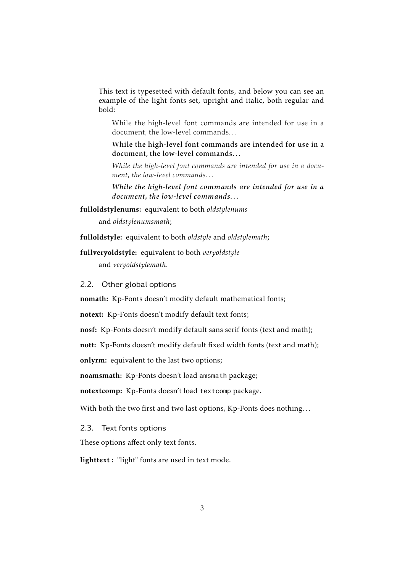This text is typesetted with default fonts, and below you can see an example of the light fonts set, upright and italic, both regular and bold:

While the high-level font commands are intended for use in a document, the low-level commands. . .

While the high-level font commands are intended for use in a document, the low-level commands. . .

*While the high-level font commands are intended for use in a document, the low-level commands. . .*

*While the high-level font commands are intended for use in a document, the low-level commands. . .*

fulloldstylenums: equivalent to both *oldstylenums*

and *oldstylenumsmath*;

fulloldstyle: equivalent to both *oldstyle* and *oldstylemath*;

#### fullveryoldstyle: equivalent to both *veryoldstyle*

and *veryoldstylemath*.

2.2. Other global options

nomath: Kp-Fonts doesn't modify default mathematical fonts;

notext: Kp-Fonts doesn't modify default text fonts;

nosf: Kp-Fonts doesn't modify default sans serif fonts (text and math);

nott: Kp-Fonts doesn't modify default fixed width fonts (text and math);

onlyrm: equivalent to the last two options;

noamsmath: Kp-Fonts doesn't load amsmath package;

notextcomp: Kp-Fonts doesn't load textcomp package.

With both the two first and two last options, Kp-Fonts does nothing...

2.3. Text fonts options

These options affect only text fonts.

lighttext : "light" fonts are used in text mode.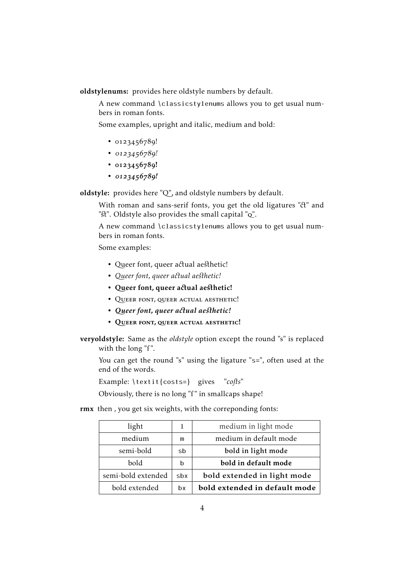oldstylenums: provides here oldstyle numbers by default.

A new command \classicstylenums allows you to get usual numbers in roman fonts.

Some examples, upright and italic, medium and bold:

- $0123456789!$
- $\cdot$  0123456789!
- $0123456789!$
- $0123456789!$

oldstyle: provides here "Q", and oldstyle numbers by default.

With roman and sans-serif fonts, you get the old ligatures "ct" and "St". Oldstyle also provides the small capital "Q".

A new command \classicstylenums allows you to get usual numbers in roman fonts.

Some examples:

- Queer font, queer actual aesthetic!
- Queer font, queer actual aesthetic!
- Queer font, queer actual aesthetic!
- QUEER FONT, QUEER ACTUAL AESTHETIC!
- *Queer font, queer a ual ae hetic!*
- Queer font, queer actual aesthetic!

veryoldstyle: Same as the *oldstyle* option except the round "s" is replaced with the long "f".

You can get the round "s" using the ligature "s=", often used at the end of the words.

Example: \textit{costs=} gives "cofts"

Obviously, there is no long "f" in smallcaps shape!

rmx then , you get six weights, with the correponding fonts:

| light              |     | medium in light mode          |  |
|--------------------|-----|-------------------------------|--|
| medium             | m   | medium in default mode        |  |
| semi-bold          | sb  | bold in light mode            |  |
| <b>bold</b><br>h   |     | bold in default mode          |  |
| semi-bold extended | sbx | bold extended in light mode   |  |
| bold extended      | hx  | bold extended in default mode |  |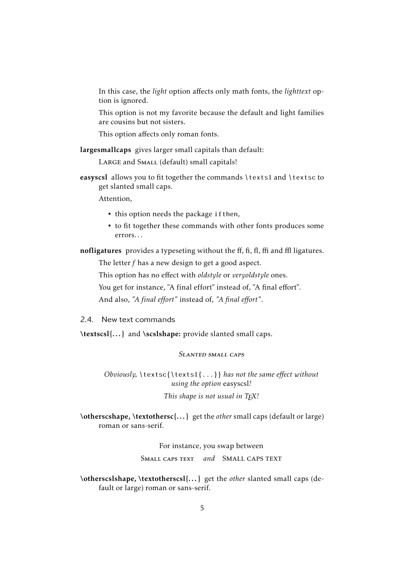In this case, the *light* option affects only math fonts, the *lighttext* option is ignored.

This option is not my favorite because the default and light families are cousins but not sisters.

This option affects only roman fonts.

largesmallcaps gives larger small capitals than default:

LARGE and SMALL (default) small capitals!

easyscsl allows you to fit together the commands \textsl and \textsc to get slanted small caps.

Attention,

- this option needs the package ifthen,
- to fit together these commands with other fonts produces some errors. . .

nofligatures provides a typeseting without the ff, fi, fl, ffi and ffl ligatures.

The letter *f* has a new design to get a good aspect.

This option has no effect with *oldstyle* or *veryoldstyle* ones.

You get for instance, "A final effort" instead of, "A final effort".

And also, *"A final effort"* instead of, *"A final effort"*.

2.4. New text commands

\textscsl{...} and \scslshape: provide slanted small caps.

## Slanted small caps

*Obviously,* \textsc{\textsl{...}} *has not the same effect without using the option* easyscsl*! This shape is not usual in TEX!*

\otherscshape, \textothersc{. . . } get the *other* small caps (default or large) roman or sans-serif.

For instance, you swap between

Small caps text *and* Small caps text

\otherscslshape, \textotherscsl{. . . } get the *other* slanted small caps (default or large) roman or sans-serif.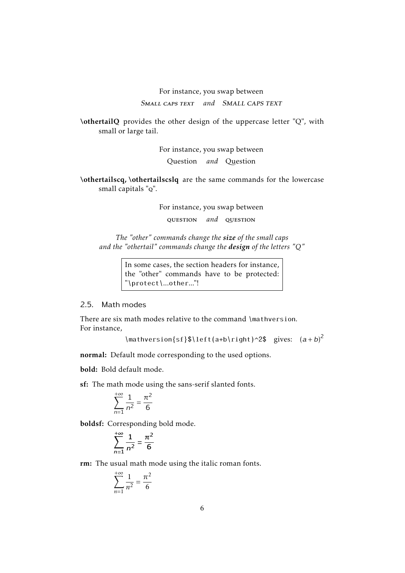# For instance, you swap between Small caps text *and* Small caps text

\othertailQ provides the other design of the uppercase letter "Q", with small or large tail.

For instance, you swap between

Question *and* Question

\othertailscq, \othertailscslq are the same commands for the lowercase small capitals "q".

For instance, you swap between

question *and* question

*The "other" commands change the size of the small caps and the "othertail" commands change the design of the letters "Q"*

> In some cases, the section headers for instance, the "other" commands have to be protected: "\protect\...other..."!

#### 2.5. Math modes

There are six math modes relative to the command \mathversion. For instance,

```
\mathversion{sf}$\left(a+b\right)^2$ gives: (a + b)^2
```
normal: Default mode corresponding to the used options.

bold: Bold default mode.

sf: The math mode using the sans-serif slanted fonts.

$$
\sum_{n=1}^{+\infty} \frac{1}{n^2} = \frac{\pi^2}{6}
$$

boldsf: Corresponding bold mode.

$$
\sum_{n=1}^{+\infty} \frac{1}{n^2} = \frac{\pi^2}{6}
$$

rm: The usual math mode using the italic roman fonts.

$$
\sum_{n=1}^{+\infty} \frac{1}{n^2} = \frac{\pi^2}{6}
$$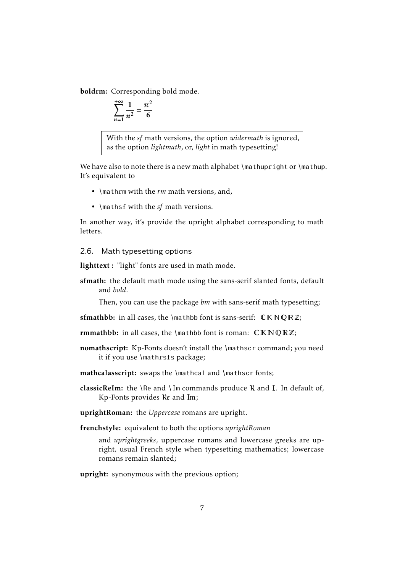boldrm: Corresponding bold mode.

$$
\sum_{n=1}^{+\infty} \frac{1}{n^2} = \frac{\pi^2}{6}
$$

With the *sf* math versions, the option *widermath* is ignored, as the option *lightmath*, or, *light* in math typesetting!

We have also to note there is a new math alphabet  $\mathcal{I}$  mathupright or  $\mathcal{I}$  mathup. It's equivalent to

- \mathrm with the *rm* math versions, and,
- \mathsf with the *sf* math versions.

In another way, it's provide the upright alphabet corresponding to math letters.

#### 2.6. Math typesetting options

lighttext : "light" fonts are used in math mode.

sfmath: the default math mode using the sans-serif slanted fonts, default and *bold*.

Then, you can use the package *bm* with sans-serif math typesetting;

sfmathbb: in all cases, the \mathbb font is sans-serif:  $\mathbb{C} \mathbb{R} \mathbb{Q} \mathbb{R} \mathbb{Z}$ ;

rmmathbb: in all cases, the \mathbb font is roman:  $CKNQRZ$ ;

nomathscript: Kp-Fonts doesn't install the \mathscr command; you need it if you use \mathrsfs package;

mathcalasscript: swaps the \mathcal and \mathscr fonts;

classicReIm: the  $\Re$  and  $\Im$  m commands produce  $\Re$  and  $\Im$ . In default of,  $Kp$ -Fonts provides  $Re$  and  $Im;$ 

uprightRoman: the *Uppercase* romans are upright.

frenchstyle: equivalent to both the options *uprightRoman*

and *uprightgreeks*, uppercase romans and lowercase greeks are upright, usual French style when typesetting mathematics; lowercase romans remain slanted;

upright: synonymous with the previous option;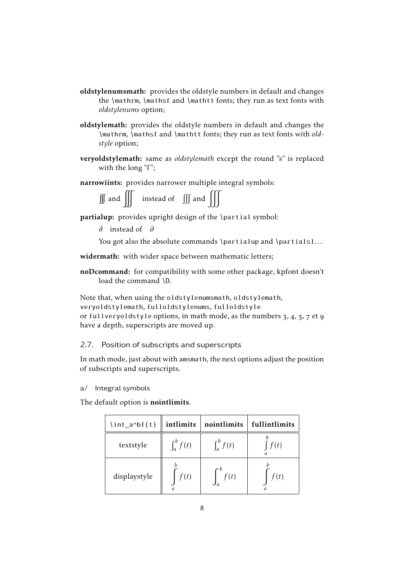- oldstylenumsmath: provides the oldstyle numbers in default and changes the \mathrm, \mathsf and \mathtt fonts; they run as text fonts with *oldstylenums* option;
- oldstylemath: provides the oldstyle numbers in default and changes the \mathrm, \mathsf and \mathtt fonts; they run as text fonts with *oldstyle* option;
- veryoldstylemath: same as *oldstylemath* except the round "s" is replaced with the long "f";
- narrowiints: provides narrower multiple integral symbols:

| $\int \int$ and $\int \int$ | instead of $\iiint$ and $\iiint$ |  |  |
|-----------------------------|----------------------------------|--|--|
|-----------------------------|----------------------------------|--|--|

- partialup: provides upright design of the \partial symbol:
	- instead of *∂*

You got also the absolute commands \partialup and \partialsl...

widermath: with wider space between mathematic letters;

noDcommand: for compatibility with some other package, kpfont doesn't load the command \D.

Note that, when using the oldstylenumsmath, oldstylemath, veryoldstylemath, fulloldstylenums, fulloldstyle or fullveryoldstyle options, in math mode, as the numbers  $3$ ,  $4$ ,  $5$ ,  $7$  et  $9$ have a depth, superscripts are moved up.

#### 2.7. Position of subscripts and superscripts

In math mode, just about with amsmath, the next options adjust the position of subscripts and superscripts.

a/ Integral symbols

The default option is nointlimits.

| $\int int_a \phi(f(t))$ | intlimits             | nointlimits     | fullintlimits |
|-------------------------|-----------------------|-----------------|---------------|
| textstyle               | $\int_a^b f(t)$       | $\int_a^b f(t)$ | f(t)          |
| displaystyle            | f(t)<br>$\mathfrak a$ | f(t)            | f(t)<br>а     |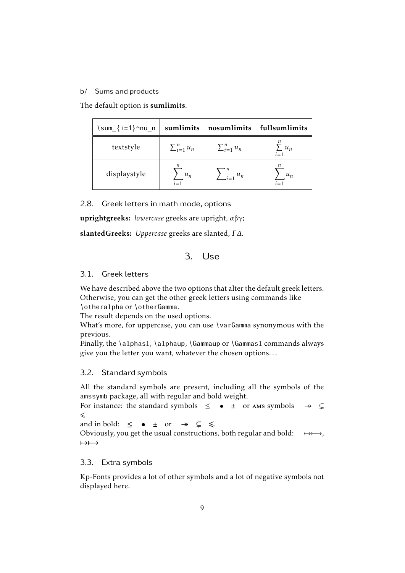#### b/ Sums and products

The default option is sumlimits.

| \sum_{i=1}^nu_n | sumlimits                                     | nosumlimits        | fullsumlimits              |
|-----------------|-----------------------------------------------|--------------------|----------------------------|
| textstyle       | $\sum_{i=1}^n u_n$                            | $\sum_{i=1}^n u_n$ | $\sum u_n$<br>$\sum_{i=1}$ |
| displaystyle    | $\boldsymbol{n}$<br>$u_n$<br>$\overline{i=1}$ | $\sum_{i=1}^n u_n$ | $u_n$                      |

2.8. Greek letters in math mode, options

uprightgreeks: *lowercase* greeks are upright, αβγ;

slantedGreeks: *Uppercase* greeks are slanted, *Γ ∆*.

# 3. Use

#### 3.1. Greek letters

We have described above the two options that alter the default greek letters. Otherwise, you can get the other greek letters using commands like \otheralpha or \otherGamma.

The result depends on the used options.

What's more, for uppercase, you can use \varGamma synonymous with the previous.

Finally, the \alphasl, \alphaup, \Gammaup or \Gammasl commands always give you the letter you want, whatever the chosen options. . .

#### 3.2. Standard symbols

All the standard symbols are present, including all the symbols of the amssymb package, all with regular and bold weight.

For instance: the standard symbols  $\leq$  •  $\pm$  or ams symbols  $\rightarrow$   $\subsetneq$  $\leq$ 

and in bold:  $\leq$  •  $\pm$  or  $\rightarrow$   $\subsetneq$   $\leq$ .

Obviously, you get the usual constructions, both regular and bold:  $\mapsto \mapsto$ ,  $\mapsto$ 

#### 3.3. Extra symbols

Kp-Fonts provides a lot of other symbols and a lot of negative symbols not displayed here.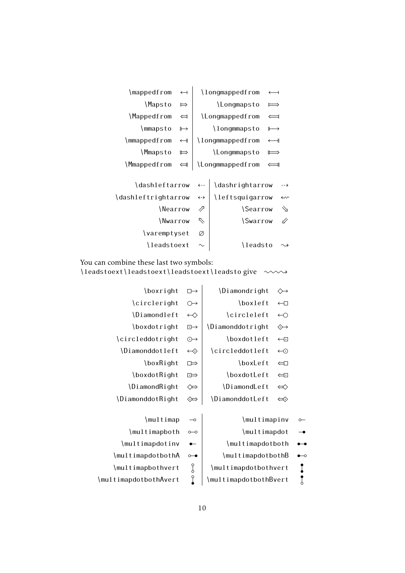| \mappedfrom         | $\leftarrow$             |                   | \longmappedfrom  |                    |                    |
|---------------------|--------------------------|-------------------|------------------|--------------------|--------------------|
| \Mapsto             | $\Rightarrow$            |                   | \Longmapsto      |                    |                    |
| \Mappedfrom         | $\Leftarrow$             |                   | \Longmappedfrom  |                    |                    |
| \mmapsto            | $\mapsto$                |                   | \longmmapsto     | ⊩<br>$\rightarrow$ |                    |
| \mmappedfrom        | $\overline{\phantom{a}}$ |                   | \longmmappedfrom | $\longleftarrow$   |                    |
| \Mmapsto            | $\mapsto$                |                   | \Longmmapsto     | ⊫⇒                 |                    |
| \Mmappedfrom        | $\Longleftarrow$         |                   | \Longmmappedfrom | ᆗ                  |                    |
|                     |                          |                   |                  |                    |                    |
| \dashleftarrow      |                          | $\leftarrow$      | \dashrightarrow  |                    | ∙-→                |
| \dashleftrightarrow |                          | $\leftrightarrow$ | \leftsquigarrow  |                    | $\rightsquigarrow$ |
| \Nearrow            |                          | ⇗                 | <i>Searrow</i>   |                    | ク                  |
| \Nwarrow            |                          | P                 | <i>Swarrow</i>   |                    | 11                 |
| \varemptyset        |                          | Ø                 |                  |                    |                    |
| \leadstoext         |                          |                   | \leadsto         |                    |                    |

You can combine these last two symbols:

\leadstoext\leadstoext\leadstoext\leadsto give  $\sim\rightarrow$ 

| \boxright             | $\Box \rightarrow$                           | \Diamondright<br>$\rightsquigarrow$  |        |
|-----------------------|----------------------------------------------|--------------------------------------|--------|
| \circleright          | $\circlearrowright$                          | \boxleft<br>$\leftarrow$             |        |
| \Diamondleft          | $\leftrightarrow$                            | \circleleft<br>$\leftrightarrow$     |        |
| \boxdotright          | $\boxdot \rightarrow$                        | \Diamonddotright<br>↔                |        |
| \circleddotright      | $\odot \rightarrow$                          | \boxdotleft<br>$\leftarrow$          |        |
| \Diamonddotleft       | $\leftrightarrow$                            | \circleddotleft<br>$\bigodot$        |        |
| \boxRight             | □⇒                                           | \boxLeft<br>$\leftarrow$             |        |
| \boxdotRight          | $\overline{E}$                               | \boxdotLeft<br>⇔⊡                    |        |
| \DiamondRight         | ⇔                                            | \DiamondLeft<br>$\Leftrightarrow$    |        |
| \DiamonddotRight      | ⇔                                            | \DiamonddotLeft<br>$\Leftrightarrow$ |        |
|                       |                                              |                                      |        |
| \multimap             | $\overline{\phantom{0}}$                     | \multimapinv                         | $\sim$ |
| \multimapboth         | $o$ -o                                       | \multimapdot                         |        |
| \multimapdotinv       | $\overline{\phantom{0}}$                     | \multimapdotboth                     |        |
| \multimapdotbothA     | $\circ\hspace{-2.5pt}\bullet\hspace{-2.5pt}$ | \multimapdotbothB                    |        |
| \multimapbothvert     | g                                            | \multimapdotbothvert                 |        |
| \multimapdotbothAvert | $\overline{1}$                               | \multimapdotbothBvert                |        |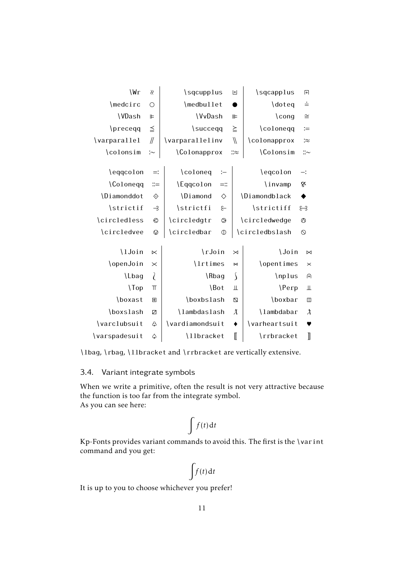| \Wr             | $\gamma$              | \sqcupplus                       |                | 団               | \sqcapplus     | $\overline{+}$    |
|-----------------|-----------------------|----------------------------------|----------------|-----------------|----------------|-------------------|
| \medcirc        | $\circ$               | \medbullet                       |                |                 | \doteq         | $\stackrel{.}{=}$ |
| \VDash          | $\blacktriangleright$ | <b>\VvDash</b>                   |                | ⊪               | $\c{ong}$      | $\cong$           |
| \preceqq        | $\leqq$               | \succeqq                         |                | $\geq$          | \coloneqq      | $\coloneqq$       |
| \varparallel    | $\mathcal{U}$         | \varparallelinv                  |                | $\sqrt{}$       | \colonapprox   | ∶≈                |
| \colonsim       | $\sim$                | <i><u><b>Colonapprox</b></u></i> |                | ::≈             | \Colonsim      | $::\sim$          |
|                 |                       |                                  |                |                 |                |                   |
| \eqqcolon       | $=$ :                 | \coloneq                         | $\coloneqq$    |                 | \eqcolon       | $-$ :             |
| \Coloneqq       | $::=$                 | \Eqqcolon                        | $=::$          |                 | \invamp        | $\&$              |
| \Diamonddot     | ♦                     | \Diamond                         | ♦              |                 | \Diamondblack  | ♦                 |
| \strictif       | $\rightarrow$         | \strictfi                        | $\epsilon$     |                 | \strictiff     | ೫                 |
| \circledless    | $\odot$               | \circledgtr                      | $\circledcirc$ |                 | \circledwedge  | $\circledcirc$    |
| \circledvee     | $\oslash$             | \circledbar                      | $\mathbb{O}$   |                 | \circledbslash | $\circ$           |
|                 |                       |                                  |                |                 |                |                   |
| \lJoin          | $\ltimes$             | \rJoin                           |                | $\bowtie$       | \Join          | $\bowtie$         |
| \openJoin       | $\boldsymbol{\times}$ | \lrtimes                         |                | $\bowtie$       | \opentimes     | $\times$          |
| \Lbag           | $\lambda$             | \Rbag                            |                | $\int$          | \nplus         | 田                 |
| $\setminus$ Top | $\top$                |                                  | \Bot           | Щ               | $\P$ erp       | Щ                 |
| \boxast         | 图                     | \boxbslash                       |                | $\mathbb Z$     | \boxbar        | $\Box$            |
| \boxslash       | Z                     | \lambdaslash                     |                | $\lambda$       | \lambdabar     | $\lambda$         |
| \varclubsuit    | යි                    | \vardiamondsuit                  |                | $\blacklozenge$ | \varheartsuit  | ♥                 |
| \varspadesuit   | $\hat{\varphi}$       | \llbracket                       |                | $\mathbb I$     | \rrbracket     | $\mathbb I$       |

\lbag, \rbag, \llbracket and \rrbracket are vertically extensive.

# 3.4. Variant integrate symbols

When we write a primitive, often the result is not very attractive because the function is too far from the integrate symbol. As you can see here:

$$
\int f(t) \, \mathrm{d}t
$$

Kp-Fonts provides variant commands to avoid this. The first is the \varint command and you get:

$$
\int f(t) \, \mathrm{d}t
$$

It is up to you to choose whichever you prefer!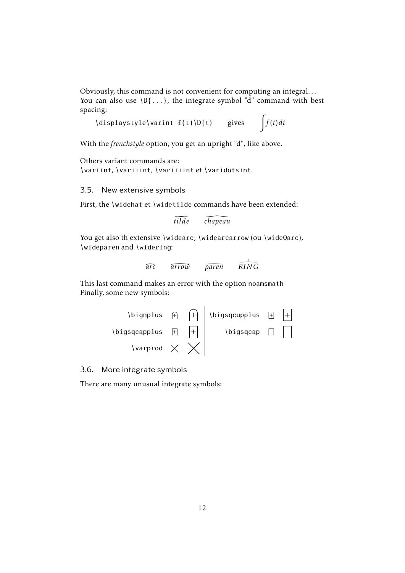Obviously, this command is not convenient for computing an integral. . . You can also use  $\{D\}$ ...}, the integrate symbol "d" command with best spacing:

\displaystyle\varint  $f(t) \ D\{t\}$  gives  $\int f(t) dt$ 

With the *frenchstyle* option, you get an upright "d", like above.

Others variant commands are: \variint, \variiint, \variiiint et \varidotsint.

3.5. New extensive symbols

First, the \widehat et \widetilde commands have been extended:

```
tilde  chapeau
```
You get also th extensive \widearc, \widearcarrow (ou \wide0arc), \wideparen and \widering:

$$
\widehat{arc} \qquad \widehat{arrow} \qquad \widehat{parent} \qquad \widehat{RING}
$$

This last command makes an error with the option noamsmath Finally, some new symbols:



3.6. More integrate symbols

There are many unusual integrate symbols: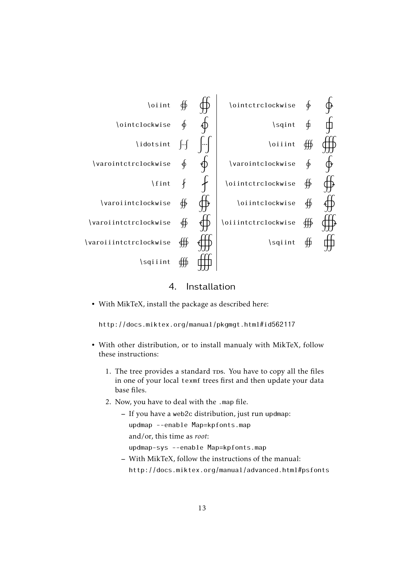

4. Installation

• With MikTeX, install the package as described here:

http://docs.miktex.org/manual/pkgmgt.html#id562117

- With other distribution, or to install manualy with MikTeX, follow these instructions:
	- 1. The tree provides a standard rps. You have to copy all the files in one of your local texmf trees first and then update your data base files.
	- 2. Now, you have to deal with the .map file.
		- If you have a web2c distribution, just run updmap:

updmap --enable Map=kpfonts.map

and/or, this time as *root*:

updmap-sys --enable Map=kpfonts.map

– With MikTeX, follow the instructions of the manual: http://docs.miktex.org/manual/advanced.html#psfonts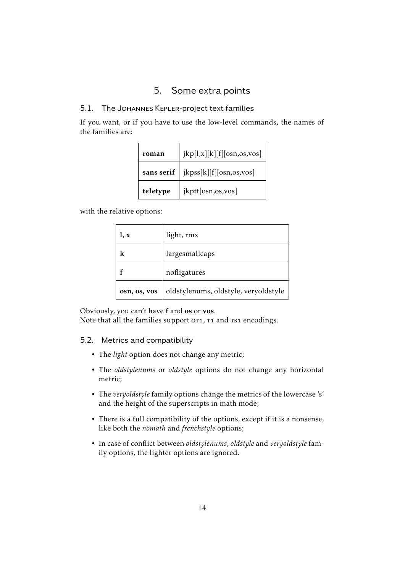# 5. Some extra points

# 5.1. The Johannes Kepler-project text families

If you want, or if you have to use the low-level commands, the names of the families are:

| roman      | jkp[1,x][k][f][osn, os,vos] |  |  |  |
|------------|-----------------------------|--|--|--|
| sans serif | jkpss[k][f][osn,os,vos]     |  |  |  |
| teletype   | jkptt[osn,os,vos]           |  |  |  |

with the relative options:

| l, x         | light, rmx                           |
|--------------|--------------------------------------|
| k            | largesmallcaps                       |
|              | nofligatures                         |
| osn, os, vos | oldstylenums, oldstyle, veryoldstyle |

Obviously, you can't have f and os or vos.

Note that all the families support or1, T1 and Ts1 encodings.

## 5.2. Metrics and compatibility

- The *light* option does not change any metric;
- The *oldstylenums* or *oldstyle* options do not change any horizontal metric;
- The *veryoldstyle* family options change the metrics of the lowercase 's' and the height of the superscripts in math mode;
- There is a full compatibility of the options, except if it is a nonsense, like both the *nomath* and *frenchstyle* options;
- In case of conflict between *oldstylenums*, *oldstyle* and *veryoldstyle* family options, the lighter options are ignored.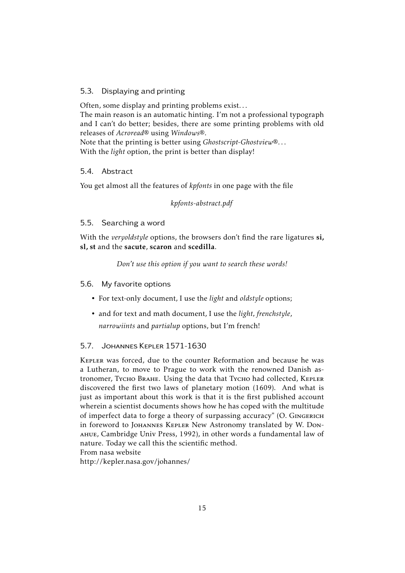# 5.3. Displaying and printing

Often, some display and printing problems exist. . . The main reason is an automatic hinting. I'm not a professional typograph and I can't do better; besides, there are some printing problems with old releases of *Acroread*® using *Windows*®.

Note that the printing is better using *Ghostscript-Ghostview*®. . . With the *light* option, the print is better than display!

## 5.4. Abstract

You get almost all the features of *kpfonts* in one page with the file

*kpfonts-abstract.pdf*

## 5.5. Searching a word

With the *veryoldstyle* options, the browsers don't find the rare ligatures si, sl, st and the sacute, scaron and scedilla.

*Don't use this option if you want to search these words!*

## 5.6. My favorite options

- For text-only document, I use the *light* and *oldstyle* options;
- and for text and math document, I use the *light, frenchstyle*, *narrowiints* and *partialup* options, but I'm french!

## 5.7. Johannes Kepler 1571-1630

Kepler was forced, due to the counter Reformation and because he was a Lutheran, to move to Prague to work with the renowned Danish astronomer, Tycho Brahe. Using the data that Tycho had collected, KEPLER discovered the first two laws of planetary motion (1609). And what is just as important about this work is that it is the first published account wherein a scientist documents shows how he has coped with the multitude of imperfect data to forge a theory of surpassing accuracy" (O. Gingerich in foreword to Johannes Kepler New Astronomy translated by W. Donahue, Cambridge Univ Press, 1992), in other words a fundamental law of nature. Today we call this the scientific method. From nasa website

http://kepler.nasa.gov/johannes/